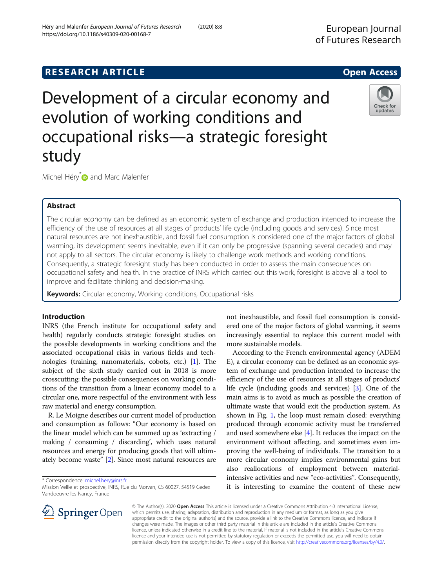Development of a circular economy and evolution of working conditions and occupational risks—a strategic foresight study

Michel Héry<sup>\*</sup> and Marc Malenfer

### Abstract

The circular economy can be defined as an economic system of exchange and production intended to increase the efficiency of the use of resources at all stages of products' life cycle (including goods and services). Since most natural resources are not inexhaustible, and fossil fuel consumption is considered one of the major factors of global warming, its development seems inevitable, even if it can only be progressive (spanning several decades) and may not apply to all sectors. The circular economy is likely to challenge work methods and working conditions. Consequently, a strategic foresight study has been conducted in order to assess the main consequences on occupational safety and health. In the practice of INRS which carried out this work, foresight is above all a tool to improve and facilitate thinking and decision-making.

Keywords: Circular economy, Working conditions, Occupational risks

### Introduction

INRS (the French institute for occupational safety and health) regularly conducts strategic foresight studies on the possible developments in working conditions and the associated occupational risks in various fields and technologies (training, nanomaterials, cobots, etc.) [\[1\]](#page-8-0). The subject of the sixth study carried out in 2018 is more crosscutting: the possible consequences on working conditions of the transition from a linear economy model to a circular one, more respectful of the environment with less raw material and energy consumption.

R. Le Moigne describes our current model of production and consumption as follows: "Our economy is based on the linear model which can be summed up as 'extracting / making / consuming / discarding', which uses natural resources and energy for producing goods that will ultimately become waste" [[2\]](#page-8-0). Since most natural resources are

\* Correspondence: [michel.hery@inrs.fr](mailto:michel.hery@inrs.fr)

l SpringerOpen

Mission Veille et prospective, INRS, Rue du Morvan, CS 60027, 54519 Cedex Vandoeuvre les Nancy, France

not inexhaustible, and fossil fuel consumption is considered one of the major factors of global warming, it seems increasingly essential to replace this current model with more sustainable models.

According to the French environmental agency (ADEM E), a circular economy can be defined as an economic system of exchange and production intended to increase the efficiency of the use of resources at all stages of products' life cycle (including goods and services) [\[3\]](#page-8-0). One of the main aims is to avoid as much as possible the creation of ultimate waste that would exit the production system. As shown in Fig. [1](#page-1-0), the loop must remain closed: everything produced through economic activity must be transferred and used somewhere else [\[4\]](#page-8-0). It reduces the impact on the environment without affecting, and sometimes even improving the well-being of individuals. The transition to a more circular economy implies environmental gains but also reallocations of employment between materialintensive activities and new "eco-activities". Consequently, it is interesting to examine the content of these new

© The Author(s). 2020 Open Access This article is licensed under a Creative Commons Attribution 4.0 International License, which permits use, sharing, adaptation, distribution and reproduction in any medium or format, as long as you give appropriate credit to the original author(s) and the source, provide a link to the Creative Commons licence, and indicate if changes were made. The images or other third party material in this article are included in the article's Creative Commons licence, unless indicated otherwise in a credit line to the material. If material is not included in the article's Creative Commons licence and your intended use is not permitted by statutory regulation or exceeds the permitted use, you will need to obtain permission directly from the copyright holder. To view a copy of this licence, visit <http://creativecommons.org/licenses/by/4.0/>.

Héry and Malenfer European Journal of Futures Research (2020) 8:8 https://doi.org/10.1186/s40309-020-00168-7

# **RESEARCH ARTICLE Example 2014 12:30 The SEAR CH ACCESS**



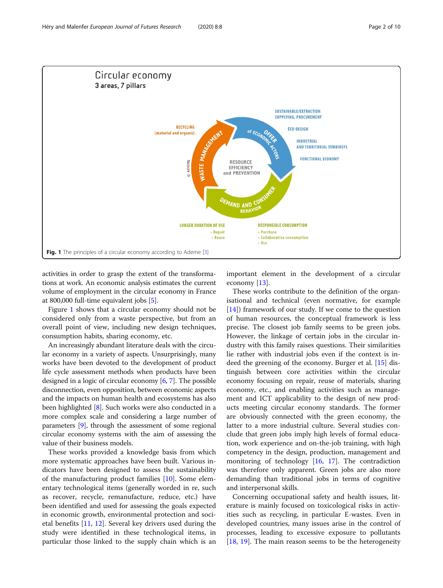<span id="page-1-0"></span>

activities in order to grasp the extent of the transformations at work. An economic analysis estimates the current volume of employment in the circular economy in France at 800,000 full-time equivalent jobs [[5\]](#page-8-0).

Figure 1 shows that a circular economy should not be considered only from a waste perspective, but from an overall point of view, including new design techniques, consumption habits, sharing economy, etc.

An increasingly abundant literature deals with the circular economy in a variety of aspects. Unsurprisingly, many works have been devoted to the development of product life cycle assessment methods when products have been designed in a logic of circular economy [\[6,](#page-8-0) [7](#page-8-0)]. The possible disconnection, even opposition, between economic aspects and the impacts on human health and ecosystems has also been highlighted [\[8\]](#page-8-0). Such works were also conducted in a more complex scale and considering a large number of parameters [\[9\]](#page-8-0), through the assessment of some regional circular economy systems with the aim of assessing the value of their business models.

These works provided a knowledge basis from which more systematic approaches have been built. Various indicators have been designed to assess the sustainability of the manufacturing product families  $[10]$  $[10]$ . Some elementary technological items (generally worded in re, such as recover, recycle, remanufacture, reduce, etc.) have been identified and used for assessing the goals expected in economic growth, environmental protection and societal benefits [\[11](#page-8-0), [12](#page-8-0)]. Several key drivers used during the study were identified in these technological items, in particular those linked to the supply chain which is an important element in the development of a circular economy [[13\]](#page-8-0).

These works contribute to the definition of the organisational and technical (even normative, for example [[14\]](#page-8-0)) framework of our study. If we come to the question of human resources, the conceptual framework is less precise. The closest job family seems to be green jobs. However, the linkage of certain jobs in the circular industry with this family raises questions. Their similarities lie rather with industrial jobs even if the context is indeed the greening of the economy. Burger et al. [\[15](#page-8-0)] distinguish between core activities within the circular economy focusing on repair, reuse of materials, sharing economy, etc., and enabling activities such as management and ICT applicability to the design of new products meeting circular economy standards. The former are obviously connected with the green economy, the latter to a more industrial culture. Several studies conclude that green jobs imply high levels of formal education, work experience and on-the-job training, with high competency in the design, production, management and monitoring of technology [\[16](#page-8-0), [17\]](#page-8-0). The contradiction was therefore only apparent. Green jobs are also more demanding than traditional jobs in terms of cognitive and interpersonal skills.

Concerning occupational safety and health issues, literature is mainly focused on toxicological risks in activities such as recycling, in particular E-wastes. Even in developed countries, many issues arise in the control of processes, leading to excessive exposure to pollutants [[18,](#page-8-0) [19\]](#page-8-0). The main reason seems to be the heterogeneity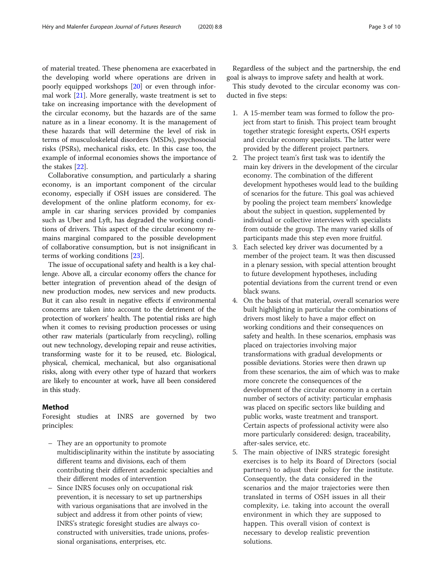<span id="page-2-0"></span>of material treated. These phenomena are exacerbated in the developing world where operations are driven in poorly equipped workshops [[20\]](#page-8-0) or even through informal work [\[21](#page-8-0)]. More generally, waste treatment is set to take on increasing importance with the development of the circular economy, but the hazards are of the same nature as in a linear economy. It is the management of these hazards that will determine the level of risk in terms of musculoskeletal disorders (MSDs), psychosocial risks (PSRs), mechanical risks, etc. In this case too, the example of informal economies shows the importance of the stakes [\[22\]](#page-8-0).

Collaborative consumption, and particularly a sharing economy, is an important component of the circular economy, especially if OSH issues are considered. The development of the online platform economy, for example in car sharing services provided by companies such as Uber and Lyft, has degraded the working conditions of drivers. This aspect of the circular economy remains marginal compared to the possible development of collaborative consumption, but is not insignificant in terms of working conditions [[23\]](#page-8-0).

The issue of occupational safety and health is a key challenge. Above all, a circular economy offers the chance for better integration of prevention ahead of the design of new production modes, new services and new products. But it can also result in negative effects if environmental concerns are taken into account to the detriment of the protection of workers' health. The potential risks are high when it comes to revising production processes or using other raw materials (particularly from recycling), rolling out new technology, developing repair and reuse activities, transforming waste for it to be reused, etc. Biological, physical, chemical, mechanical, but also organisational risks, along with every other type of hazard that workers are likely to encounter at work, have all been considered in this study.

### Method

Foresight studies at INRS are governed by two principles:

- They are an opportunity to promote multidisciplinarity within the institute by associating different teams and divisions, each of them contributing their different academic specialties and their different modes of intervention
- Since INRS focuses only on occupational risk prevention, it is necessary to set up partnerships with various organisations that are involved in the subject and address it from other points of view; INRS's strategic foresight studies are always coconstructed with universities, trade unions, professional organisations, enterprises, etc.

Regardless of the subject and the partnership, the end goal is always to improve safety and health at work.

This study devoted to the circular economy was conducted in five steps:

- 1. A 15-member team was formed to follow the project from start to finish. This project team brought together strategic foresight experts, OSH experts and circular economy specialists. The latter were provided by the different project partners.
- 2. The project team's first task was to identify the main key drivers in the development of the circular economy. The combination of the different development hypotheses would lead to the building of scenarios for the future. This goal was achieved by pooling the project team members' knowledge about the subject in question, supplemented by individual or collective interviews with specialists from outside the group. The many varied skills of participants made this step even more fruitful.
- 3. Each selected key driver was documented by a member of the project team. It was then discussed in a plenary session, with special attention brought to future development hypotheses, including potential deviations from the current trend or even black swans.
- 4. On the basis of that material, overall scenarios were built highlighting in particular the combinations of drivers most likely to have a major effect on working conditions and their consequences on safety and health. In these scenarios, emphasis was placed on trajectories involving major transformations with gradual developments or possible deviations. Stories were then drawn up from these scenarios, the aim of which was to make more concrete the consequences of the development of the circular economy in a certain number of sectors of activity: particular emphasis was placed on specific sectors like building and public works, waste treatment and transport. Certain aspects of professional activity were also more particularly considered: design, traceability, after-sales service, etc.
- 5. The main objective of INRS strategic foresight exercises is to help its Board of Directors (social partners) to adjust their policy for the institute. Consequently, the data considered in the scenarios and the major trajectories were then translated in terms of OSH issues in all their complexity, i.e. taking into account the overall environment in which they are supposed to happen. This overall vision of context is necessary to develop realistic prevention solutions.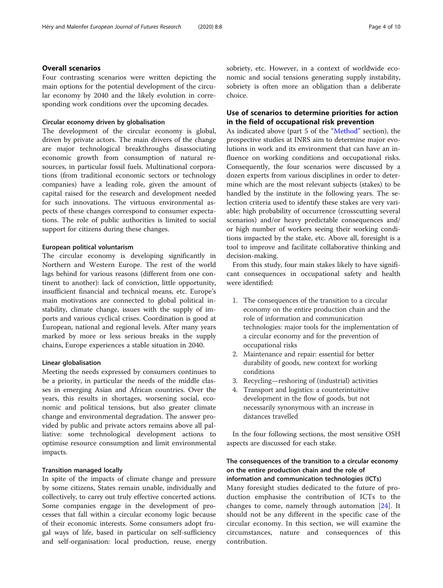### Overall scenarios

Four contrasting scenarios were written depicting the main options for the potential development of the circular economy by 2040 and the likely evolution in corresponding work conditions over the upcoming decades.

#### Circular economy driven by globalisation

The development of the circular economy is global, driven by private actors. The main drivers of the change are major technological breakthroughs disassociating economic growth from consumption of natural resources, in particular fossil fuels. Multinational corporations (from traditional economic sectors or technology companies) have a leading role, given the amount of capital raised for the research and development needed for such innovations. The virtuous environmental aspects of these changes correspond to consumer expectations. The role of public authorities is limited to social support for citizens during these changes.

#### European political voluntarism

The circular economy is developing significantly in Northern and Western Europe. The rest of the world lags behind for various reasons (different from one continent to another): lack of conviction, little opportunity, insufficient financial and technical means, etc. Europe's main motivations are connected to global political instability, climate change, issues with the supply of imports and various cyclical crises. Coordination is good at European, national and regional levels. After many years marked by more or less serious breaks in the supply chains, Europe experiences a stable situation in 2040.

#### Linear globalisation

Meeting the needs expressed by consumers continues to be a priority, in particular the needs of the middle classes in emerging Asian and African countries. Over the years, this results in shortages, worsening social, economic and political tensions, but also greater climate change and environmental degradation. The answer provided by public and private actors remains above all palliative: some technological development actions to optimise resource consumption and limit environmental impacts.

#### Transition managed locally

In spite of the impacts of climate change and pressure by some citizens, States remain unable, individually and collectively, to carry out truly effective concerted actions. Some companies engage in the development of processes that fall within a circular economy logic because of their economic interests. Some consumers adopt frugal ways of life, based in particular on self-sufficiency and self-organisation: local production, reuse, energy sobriety, etc. However, in a context of worldwide economic and social tensions generating supply instability, sobriety is often more an obligation than a deliberate choice.

### Use of scenarios to determine priorities for action in the field of occupational risk prevention

As indicated above (part 5 of the "[Method](#page-2-0)" section), the prospective studies at INRS aim to determine major evolutions in work and its environment that can have an influence on working conditions and occupational risks. Consequently, the four scenarios were discussed by a dozen experts from various disciplines in order to determine which are the most relevant subjects (stakes) to be handled by the institute in the following years. The selection criteria used to identify these stakes are very variable: high probability of occurrence (crosscutting several scenarios) and/or heavy predictable consequences and/ or high number of workers seeing their working conditions impacted by the stake, etc. Above all, foresight is a tool to improve and facilitate collaborative thinking and decision-making.

From this study, four main stakes likely to have significant consequences in occupational safety and health were identified:

- 1. The consequences of the transition to a circular economy on the entire production chain and the role of information and communication technologies: major tools for the implementation of a circular economy and for the prevention of occupational risks
- 2. Maintenance and repair: essential for better durability of goods, new context for working conditions
- 3. Recycling—reshoring of (industrial) activities
- 4. Transport and logistics: a counterintuitive development in the flow of goods, but not necessarily synonymous with an increase in distances travelled

In the four following sections, the most sensitive OSH aspects are discussed for each stake.

### The consequences of the transition to a circular economy on the entire production chain and the role of information and communication technologies (ICTs)

Many foresight studies dedicated to the future of production emphasise the contribution of ICTs to the changes to come, namely through automation [[24](#page-9-0)]. It should not be any different in the specific case of the circular economy. In this section, we will examine the circumstances, nature and consequences of this contribution.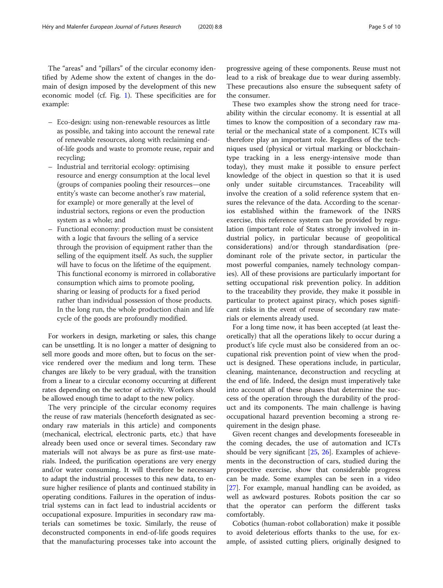The "areas" and "pillars" of the circular economy identified by Ademe show the extent of changes in the domain of design imposed by the development of this new economic model (cf. Fig. [1\)](#page-1-0). These specificities are for example:

- Eco-design: using non-renewable resources as little as possible, and taking into account the renewal rate of renewable resources, along with reclaiming endof-life goods and waste to promote reuse, repair and recycling;
- Industrial and territorial ecology: optimising resource and energy consumption at the local level (groups of companies pooling their resources—one entity's waste can become another's raw material, for example) or more generally at the level of industrial sectors, regions or even the production system as a whole; and
- Functional economy: production must be consistent with a logic that favours the selling of a service through the provision of equipment rather than the selling of the equipment itself. As such, the supplier will have to focus on the lifetime of the equipment. This functional economy is mirrored in collaborative consumption which aims to promote pooling, sharing or leasing of products for a fixed period rather than individual possession of those products. In the long run, the whole production chain and life cycle of the goods are profoundly modified.

For workers in design, marketing or sales, this change can be unsettling. It is no longer a matter of designing to sell more goods and more often, but to focus on the service rendered over the medium and long term. These changes are likely to be very gradual, with the transition from a linear to a circular economy occurring at different rates depending on the sector of activity. Workers should be allowed enough time to adapt to the new policy.

The very principle of the circular economy requires the reuse of raw materials (henceforth designated as secondary raw materials in this article) and components (mechanical, electrical, electronic parts, etc.) that have already been used once or several times. Secondary raw materials will not always be as pure as first-use materials. Indeed, the purification operations are very energy and/or water consuming. It will therefore be necessary to adapt the industrial processes to this new data, to ensure higher resilience of plants and continued stability in operating conditions. Failures in the operation of industrial systems can in fact lead to industrial accidents or occupational exposure. Impurities in secondary raw materials can sometimes be toxic. Similarly, the reuse of deconstructed components in end-of-life goods requires that the manufacturing processes take into account the

progressive ageing of these components. Reuse must not lead to a risk of breakage due to wear during assembly. These precautions also ensure the subsequent safety of the consumer.

These two examples show the strong need for traceability within the circular economy. It is essential at all times to know the composition of a secondary raw material or the mechanical state of a component. ICTs will therefore play an important role. Regardless of the techniques used (physical or virtual marking or blockchaintype tracking in a less energy-intensive mode than today), they must make it possible to ensure perfect knowledge of the object in question so that it is used only under suitable circumstances. Traceability will involve the creation of a solid reference system that ensures the relevance of the data. According to the scenarios established within the framework of the INRS exercise, this reference system can be provided by regulation (important role of States strongly involved in industrial policy, in particular because of geopolitical considerations) and/or through standardisation (predominant role of the private sector, in particular the most powerful companies, namely technology companies). All of these provisions are particularly important for setting occupational risk prevention policy. In addition to the traceability they provide, they make it possible in particular to protect against piracy, which poses significant risks in the event of reuse of secondary raw materials or elements already used.

For a long time now, it has been accepted (at least theoretically) that all the operations likely to occur during a product's life cycle must also be considered from an occupational risk prevention point of view when the product is designed. These operations include, in particular, cleaning, maintenance, deconstruction and recycling at the end of life. Indeed, the design must imperatively take into account all of these phases that determine the success of the operation through the durability of the product and its components. The main challenge is having occupational hazard prevention becoming a strong requirement in the design phase.

Given recent changes and developments foreseeable in the coming decades, the use of automation and ICTs should be very significant [\[25](#page-9-0), [26\]](#page-9-0). Examples of achievements in the deconstruction of cars, studied during the prospective exercise, show that considerable progress can be made. Some examples can be seen in a video [[27\]](#page-9-0). For example, manual handling can be avoided, as well as awkward postures. Robots position the car so that the operator can perform the different tasks comfortably.

Cobotics (human-robot collaboration) make it possible to avoid deleterious efforts thanks to the use, for example, of assisted cutting pliers, originally designed to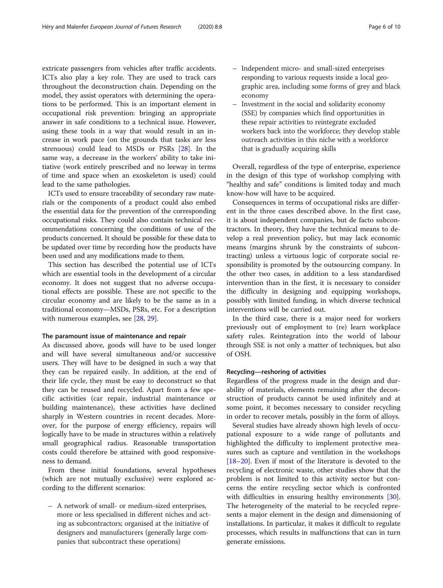extricate passengers from vehicles after traffic accidents. ICTs also play a key role. They are used to track cars throughout the deconstruction chain. Depending on the model, they assist operators with determining the operations to be performed. This is an important element in occupational risk prevention: bringing an appropriate answer in safe conditions to a technical issue. However, using these tools in a way that would result in an increase in work pace (on the grounds that tasks are less strenuous) could lead to MSDs or PSRs [[28\]](#page-9-0). In the same way, a decrease in the workers' ability to take initiative (work entirely prescribed and no leeway in terms of time and space when an exoskeleton is used) could lead to the same pathologies.

ICTs used to ensure traceability of secondary raw materials or the components of a product could also embed the essential data for the prevention of the corresponding occupational risks. They could also contain technical recommendations concerning the conditions of use of the products concerned. It should be possible for these data to be updated over time by recording how the products have been used and any modifications made to them.

This section has described the potential use of ICTs which are essential tools in the development of a circular economy. It does not suggest that no adverse occupational effects are possible. These are not specific to the circular economy and are likely to be the same as in a traditional economy—MSDs, PSRs, etc. For a description with numerous examples, see [\[28,](#page-9-0) [29\]](#page-9-0).

#### The paramount issue of maintenance and repair

As discussed above, goods will have to be used longer and will have several simultaneous and/or successive users. They will have to be designed in such a way that they can be repaired easily. In addition, at the end of their life cycle, they must be easy to deconstruct so that they can be reused and recycled. Apart from a few specific activities (car repair, industrial maintenance or building maintenance), these activities have declined sharply in Western countries in recent decades. Moreover, for the purpose of energy efficiency, repairs will logically have to be made in structures within a relatively small geographical radius. Reasonable transportation costs could therefore be attained with good responsiveness to demand.

From these initial foundations, several hypotheses (which are not mutually exclusive) were explored according to the different scenarios:

– A network of small- or medium-sized enterprises, more or less specialised in different niches and acting as subcontractors; organised at the initiative of designers and manufacturers (generally large companies that subcontract these operations)

- Independent micro- and small-sized enterprises responding to various requests inside a local geographic area, including some forms of grey and black economy
- Investment in the social and solidarity economy (SSE) by companies which find opportunities in these repair activities to reintegrate excluded workers back into the workforce; they develop stable outreach activities in this niche with a workforce that is gradually acquiring skills

Overall, regardless of the type of enterprise, experience in the design of this type of workshop complying with "healthy and safe" conditions is limited today and much know-how will have to be acquired.

Consequences in terms of occupational risks are different in the three cases described above. In the first case, it is about independent companies, but de facto subcontractors. In theory, they have the technical means to develop a real prevention policy, but may lack economic means (margins shrunk by the constraints of subcontracting) unless a virtuous logic of corporate social responsibility is promoted by the outsourcing company. In the other two cases, in addition to a less standardised intervention than in the first, it is necessary to consider the difficulty in designing and equipping workshops, possibly with limited funding, in which diverse technical interventions will be carried out.

In the third case, there is a major need for workers previously out of employment to (re) learn workplace safety rules. Reintegration into the world of labour through SSE is not only a matter of techniques, but also of OSH.

#### Recycling—reshoring of activities

Regardless of the progress made in the design and durability of materials, elements remaining after the deconstruction of products cannot be used infinitely and at some point, it becomes necessary to consider recycling in order to recover metals, possibly in the form of alloys.

Several studies have already shown high levels of occupational exposure to a wide range of pollutants and highlighted the difficulty to implement protective measures such as capture and ventilation in the workshops [[18](#page-8-0)–[20](#page-8-0)]. Even if most of the literature is devoted to the recycling of electronic waste, other studies show that the problem is not limited to this activity sector but concerns the entire recycling sector which is confronted with difficulties in ensuring healthy environments [\[30](#page-9-0)]. The heterogeneity of the material to be recycled represents a major element in the design and dimensioning of installations. In particular, it makes it difficult to regulate processes, which results in malfunctions that can in turn generate emissions.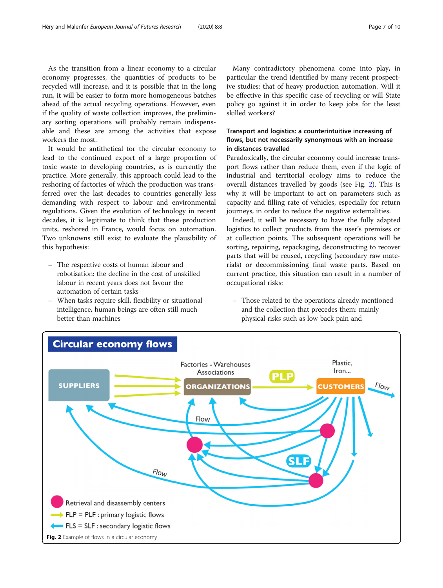As the transition from a linear economy to a circular economy progresses, the quantities of products to be recycled will increase, and it is possible that in the long run, it will be easier to form more homogeneous batches ahead of the actual recycling operations. However, even if the quality of waste collection improves, the preliminary sorting operations will probably remain indispensable and these are among the activities that expose workers the most.

It would be antithetical for the circular economy to lead to the continued export of a large proportion of toxic waste to developing countries, as is currently the practice. More generally, this approach could lead to the reshoring of factories of which the production was transferred over the last decades to countries generally less demanding with respect to labour and environmental regulations. Given the evolution of technology in recent decades, it is legitimate to think that these production units, reshored in France, would focus on automation. Two unknowns still exist to evaluate the plausibility of this hypothesis:

- The respective costs of human labour and robotisation: the decline in the cost of unskilled labour in recent years does not favour the automation of certain tasks
- When tasks require skill, flexibility or situational intelligence, human beings are often still much better than machines

Many contradictory phenomena come into play, in particular the trend identified by many recent prospective studies: that of heavy production automation. Will it be effective in this specific case of recycling or will State policy go against it in order to keep jobs for the least skilled workers?

### Transport and logistics: a counterintuitive increasing of flows, but not necessarily synonymous with an increase in distances travelled

Paradoxically, the circular economy could increase transport flows rather than reduce them, even if the logic of industrial and territorial ecology aims to reduce the overall distances travelled by goods (see Fig. 2). This is why it will be important to act on parameters such as capacity and filling rate of vehicles, especially for return journeys, in order to reduce the negative externalities.

Indeed, it will be necessary to have the fully adapted logistics to collect products from the user's premises or at collection points. The subsequent operations will be sorting, repairing, repackaging, deconstructing to recover parts that will be reused, recycling (secondary raw materials) or decommissioning final waste parts. Based on current practice, this situation can result in a number of occupational risks:

– Those related to the operations already mentioned and the collection that precedes them: mainly physical risks such as low back pain and

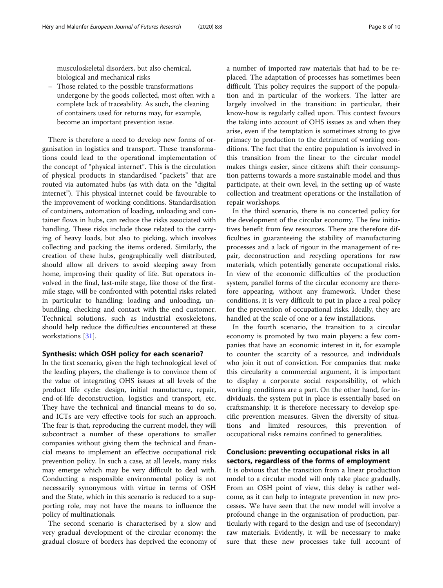musculoskeletal disorders, but also chemical, biological and mechanical risks

– Those related to the possible transformations undergone by the goods collected, most often with a complete lack of traceability. As such, the cleaning of containers used for returns may, for example, become an important prevention issue.

There is therefore a need to develop new forms of organisation in logistics and transport. These transformations could lead to the operational implementation of the concept of "physical internet". This is the circulation of physical products in standardised "packets" that are routed via automated hubs (as with data on the "digital internet"). This physical internet could be favourable to the improvement of working conditions. Standardisation of containers, automation of loading, unloading and container flows in hubs, can reduce the risks associated with handling. These risks include those related to the carrying of heavy loads, but also to picking, which involves collecting and packing the items ordered. Similarly, the creation of these hubs, geographically well distributed, should allow all drivers to avoid sleeping away from home, improving their quality of life. But operators involved in the final, last-mile stage, like those of the firstmile stage, will be confronted with potential risks related in particular to handling: loading and unloading, unbundling, checking and contact with the end customer. Technical solutions, such as industrial exoskeletons, should help reduce the difficulties encountered at these workstations [[31\]](#page-9-0).

### Synthesis: which OSH policy for each scenario?

In the first scenario, given the high technological level of the leading players, the challenge is to convince them of the value of integrating OHS issues at all levels of the product life cycle: design, initial manufacture, repair, end-of-life deconstruction, logistics and transport, etc. They have the technical and financial means to do so, and ICTs are very effective tools for such an approach. The fear is that, reproducing the current model, they will subcontract a number of these operations to smaller companies without giving them the technical and financial means to implement an effective occupational risk prevention policy. In such a case, at all levels, many risks may emerge which may be very difficult to deal with. Conducting a responsible environmental policy is not necessarily synonymous with virtue in terms of OSH and the State, which in this scenario is reduced to a supporting role, may not have the means to influence the policy of multinationals.

The second scenario is characterised by a slow and very gradual development of the circular economy: the gradual closure of borders has deprived the economy of a number of imported raw materials that had to be replaced. The adaptation of processes has sometimes been difficult. This policy requires the support of the population and in particular of the workers. The latter are largely involved in the transition: in particular, their know-how is regularly called upon. This context favours the taking into account of OHS issues as and when they arise, even if the temptation is sometimes strong to give primacy to production to the detriment of working conditions. The fact that the entire population is involved in this transition from the linear to the circular model makes things easier, since citizens shift their consumption patterns towards a more sustainable model and thus participate, at their own level, in the setting up of waste collection and treatment operations or the installation of repair workshops.

In the third scenario, there is no concerted policy for the development of the circular economy. The few initiatives benefit from few resources. There are therefore difficulties in guaranteeing the stability of manufacturing processes and a lack of rigour in the management of repair, deconstruction and recycling operations for raw materials, which potentially generate occupational risks. In view of the economic difficulties of the production system, parallel forms of the circular economy are therefore appearing, without any framework. Under these conditions, it is very difficult to put in place a real policy for the prevention of occupational risks. Ideally, they are handled at the scale of one or a few installations.

In the fourth scenario, the transition to a circular economy is promoted by two main players: a few companies that have an economic interest in it, for example to counter the scarcity of a resource, and individuals who join it out of conviction. For companies that make this circularity a commercial argument, it is important to display a corporate social responsibility, of which working conditions are a part. On the other hand, for individuals, the system put in place is essentially based on craftsmanship: it is therefore necessary to develop specific prevention measures. Given the diversity of situations and limited resources, this prevention of occupational risks remains confined to generalities.

### Conclusion: preventing occupational risks in all sectors, regardless of the forms of employment

It is obvious that the transition from a linear production model to a circular model will only take place gradually. From an OSH point of view, this delay is rather welcome, as it can help to integrate prevention in new processes. We have seen that the new model will involve a profound change in the organisation of production, particularly with regard to the design and use of (secondary) raw materials. Evidently, it will be necessary to make sure that these new processes take full account of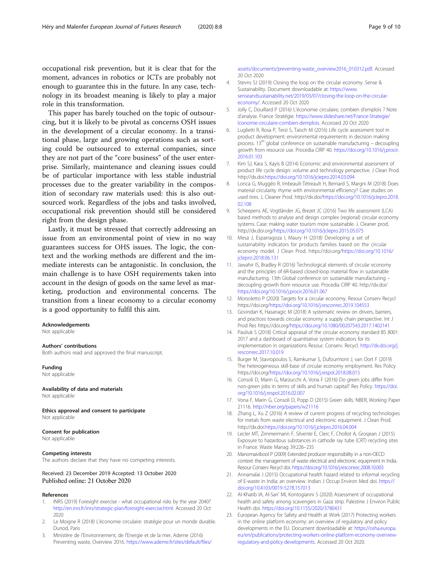<span id="page-8-0"></span>occupational risk prevention, but it is clear that for the moment, advances in robotics or ICTs are probably not enough to guarantee this in the future. In any case, technology in its broadest meaning is likely to play a major role in this transformation.

This paper has barely touched on the topic of outsourcing, but it is likely to be pivotal as concerns OSH issues in the development of a circular economy. In a transitional phase, large and growing operations such as sorting could be outsourced to external companies, since they are not part of the "core business" of the user enterprise. Similarly, maintenance and cleaning issues could be of particular importance with less stable industrial processes due to the greater variability in the composition of secondary raw materials used: this is also outsourced work. Regardless of the jobs and tasks involved, occupational risk prevention should still be considered right from the design phase.

Lastly, it must be stressed that correctly addressing an issue from an environmental point of view in no way guarantees success for OHS issues. The logic, the context and the working methods are different and the immediate interests can be antagonistic. In conclusion, the main challenge is to have OSH requirements taken into account in the design of goods on the same level as marketing, production and environmental concerns. The transition from a linear economy to a circular economy is a good opportunity to fulfil this aim.

#### Acknowledgements

Not applicable

#### Authors' contributions

Both authors read and approved the final manuscript.

Funding Not applicable

Availability of data and materials Not applicable

Ethics approval and consent to participate Not applicable

Consent for publication Not applicable

#### Competing interests

The authors declare that they have no competing interests.

#### Received: 23 December 2019 Accepted: 13 October 2020 Published online: 21 October 2020

#### References

- 1. INRS (2019) Foresight exercise what occupational risks by the year 2040? [http://en.inrs.fr/inrs/strategic-plan/foresight-exercise.html.](http://en.inrs.fr/inrs/strategic-plan/foresight-exercise.html) Accessed 20 Oct 2020
- 2. Le Moigne R (2018) L'économie circulaire: stratégie pour un monde durable. Dunod, Paris
- 3. Ministère de l'Environnement, de l'Energie et de la mer, Ademe (2016) Preventing waste, Overview 2016. [https://www.ademe.fr/sites/default/files/](https://www.ademe.fr/sites/default/files/assets/documents/preventing-waste_overview2016_010312.pdf)

[assets/documents/preventing-waste\\_overview2016\\_010312.pdf.](https://www.ademe.fr/sites/default/files/assets/documents/preventing-waste_overview2016_010312.pdf) Accessed 20 Oct 2020

- 4. Stevns SJ (2019) Closing the loop on the circular economy. Sense & Sustainability. Document downloadable at: [https://www.](https://www.senseandsustainability.net/2019/03/07/closing-the-loop-on-the-circular-economy/) [senseandsustainability.net/2019/03/07/closing-the-loop-on-the-circular](https://www.senseandsustainability.net/2019/03/07/closing-the-loop-on-the-circular-economy/)[economy/.](https://www.senseandsustainability.net/2019/03/07/closing-the-loop-on-the-circular-economy/) Accessed 20 Oct 2020
- 5. Jolly C, Douillard P (2016) L'économie circulaire, combien d'emplois ? Note d'analyse. France Stratégie. [https://www.slideshare.net/France-Strategie/](https://www.slideshare.net/France-Strategie/lconomie-circulaire-combien-demplois) [lconomie-circulaire-combien-demplois](https://www.slideshare.net/France-Strategie/lconomie-circulaire-combien-demplois). Accessed 20 Oct 2020
- 6. Luglietti R, Rosa P, Terzi S, Taisch M (2016) Life cycle assessment tool in product development: environmental requirements in decision making process. 13th global conference on sustainable manufacturing – decoupling growth from resource use. Procedia CIRP 40. [https://doi.org/10.1016/j.procir.](https://doi.org/10.1016/j.procir.2016.01.103) [2016.01.103](https://doi.org/10.1016/j.procir.2016.01.103)
- 7. Kim SJ, Kara S, Kayis B (2014) Economic and environmental assessment of product life cycle design: volume and technology perspective. J Clean Prod. http://dx.doi[.https://doi.org/10.1016/jclepro.2014.03.094](https://doi.org/10.1016/jclepro.2014.03.094)
- 8. Lonca G, Muggéo R, Imbeault-Tétreault H, Bernard S, Margni M (2018) Does material circularity rhyme with environmental efficiency? Case studies on used tires. J, Cleaner Prod. http://dx.doi/[https://doi.org/10.1016/jclepro.2018.](https://doi.org/10.1016/jclepro.2018.02.108) [02.108](https://doi.org/10.1016/jclepro.2018.02.108)
- 9. Scheepens AE, Vogtländer JG, Brezet JC (2016) Two life assessment (LCA) based methods to analyse and design complex (regional) circular economy systems. Case: making water tourism more sustainable. J. Cleaner prod. http://dx.doi.org[/https://doi.org/10.1016/jclepro.2015.05.075](https://doi.org/10.1016/jclepro.2015.05.075)
- 10. Mesa J, Esparragoza I, Maury H (2018) Developing a set of sustainability indicators for products families based on the circular economy model. J Clean Prod. https://doi.org/[https://doi.org/10.1016/](https://doi.org/10.1016/jclepro.2018.06.131) [jclepro.2018.06.131](https://doi.org/10.1016/jclepro.2018.06.131)
- 11. Jawahir IS, Bradley R (2016) Technological elements of circular economy and the principles of 6R-based closed-loop material flow in sustainable manufacturing. 13th Global conference on sustainable manufacturing – decoupling growth from resource use. Procedia CIRP 40. http://dx.doi/ <https://doi.org/10.1016/j.procir.2016.01.067>
- 12. Morsoletto P (2020) Targets for a circular economy. Resour Conserv Recycl https://doi.org/<https://doi.org/10.1016/j.resconrec.2019.104553>
- 13. Govindan K, Hasanagic M (2018) A systematic review on drivers, barriers, and practices towards circular economy: a supply chain perspective. Int J Prod Res https://doi.org/<https://doi.org/10.1080/00207543.2017.1402141>
- 14. Pauliuk S (2018) Critical appraisal of the circular economy standard BS 8001: 2017 and a dashboard of quantitative system indicators for its implementation in organizations Resour. Conserv. Recycl. [http://dx.doi.org/j.](http://dx.doi.org/j.resconrec.2017.10.019) [resconrec.2017.10.019](http://dx.doi.org/j.resconrec.2017.10.019)
- 15. Burger M, Stavropoulos S, Ramkumar S, Dufourmont J, van Oort F (2019) The heterogeneous skill-base of circular economy employment. Res Policy https://doi.org/<https://doi.org/10.1016/j.respol.2018.08.015>
- 16. Consoli D, Marin G, Marzucchi A, Vona F (2016) Do green jobs differ from non-green jobs in terms of skills and human capital? Res Policy. [https://doi.](https://doi.org/10.1016/j.respol.2016.02.007) [org/10.1016/j.respol.2016.02.007](https://doi.org/10.1016/j.respol.2016.02.007)
- 17. Vona F, Marin G, Consoli D, Popp D (2015) Green skills. NBER, Working Paper 21116. <http://nber.org/papers/w21116>
- 18. Zhang L, Xu Z (2016) A review of current progress of recycling technologies for metals from waste electrical and electronic equipment. J Clean Prod. http://dx.doi[.https://doi.org/10.1016/j.jclepro.2016.04.004](https://doi.org/10.1016/j.jclepro.2016.04.004)
- 19. Lecler MT, Zimmermann F, Silvente E, Clerc F, Chollot A, Grosjean J (2015) Exposure to hazardous substances in cathode ray tube (CRT) recycling sites in France. Waste Manag 39:226–235
- 20. Manomaivibool P (2009) Extended producer responsibility in a non-OECD context: the management of waste electrical and electronic equipment in India. Resour Conserv Recycl doi. <https://doi.org/10.1016/j.resconrec.2008.10.003>
- 21. Annamalai J (2015) Occupational health hazard related to informal recycling of E-waste in India: an overview. Indian J Occup Environ Med doi. [https://](https://doi.org/10.4103/0019-5278.157013) [doi.org/10.4103/0019-5278.157013](https://doi.org/10.4103/0019-5278.157013)
- 22. Al-Khatib IA, Al-Sari' MI, Kontogianni S (2020) Assessment of occupational health and safety among scavengers in Gaza strip. Palestine J Environ Public Health doi. <https://doi.org/10.1155/2020/3780431>
- 23. European Agency for Safety and Health at Work (2017) Protecting workers in the online platform economy: an overview of regulatory and policy developments in the EU. Document downloadable at: [https://osha.europa.](https://osha.europa.eu/en/publications/protecting-workers-online-platform-economy-overview-regulatory-and-policy-developments) [eu/en/publications/protecting-workers-online-platform-economy-overview](https://osha.europa.eu/en/publications/protecting-workers-online-platform-economy-overview-regulatory-and-policy-developments)[regulatory-and-policy-developments](https://osha.europa.eu/en/publications/protecting-workers-online-platform-economy-overview-regulatory-and-policy-developments). Accessed 20 Oct 2020.